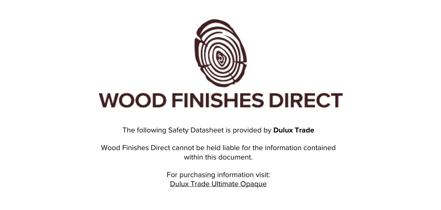

The following Safety Datasheet is provided by **Dulux Trade**

Wood Finishes Direct cannot be held liable for the information contained within this document.

> For purchasing information visit: [Dulux Trade Ultimate Opaque](https://www.wood-finishes-direct.com/product/dulux-trade-ultimate-opaque)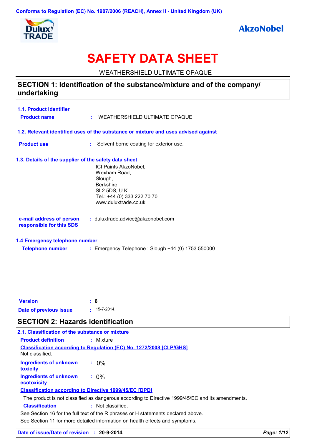Conforms to Regulation (EC) No. 1907/2006 (REACH), Annex II - United Kingdom (UK)



## **AkzoNobel**

# **SAFETY DATA SHEET**

WEATHERSHIELD ULTIMATE OPAQUE

### SECTION 1: Identification of the substance/mixture and of the company/ undertaking

| 1.1. Product identifier<br><b>Product name</b>        |    | : WEATHERSHIELD ULTIMATE OPAQUE                                                    |
|-------------------------------------------------------|----|------------------------------------------------------------------------------------|
|                                                       |    | 1.2. Relevant identified uses of the substance or mixture and uses advised against |
| <b>Product use</b>                                    | t. | Solvent borne coating for exterior use.                                            |
| 1.3. Details of the supplier of the safety data sheet |    |                                                                                    |
|                                                       |    | ICI Paints AkzoNobel,                                                              |
|                                                       |    | Wexham Road,<br>Slough,                                                            |
|                                                       |    | Berkshire,                                                                         |
|                                                       |    | SL2 5DS, U.K.                                                                      |
|                                                       |    | Tel.: +44 (0) 333 222 70 70                                                        |
|                                                       |    | www.duluxtrade.co.uk                                                               |
| e-mail address of person<br>responsible for this SDS  |    | : duluxtrade.advice@akzonobel.com                                                  |
| 1.4 Emergency telephone number                        |    |                                                                                    |
| <b>Telephone number</b>                               |    | : Emergency Telephone : Slough +44 (0) 1753 550000                                 |
|                                                       |    |                                                                                    |
|                                                       |    |                                                                                    |

| <b>Version</b>         | $\pm 6$ |                  |
|------------------------|---------|------------------|
| Date of previous issue |         | $\pm$ 15-7-2014. |

## **SECTION 2: Hazards identification**

| 2.1. Classification of the substance or mixture  |                                                                                                  |
|--------------------------------------------------|--------------------------------------------------------------------------------------------------|
| <b>Product definition</b>                        | : Mixture                                                                                        |
| Not classified.                                  | <b>Classification according to Regulation (EC) No. 1272/2008 [CLP/GHS]</b>                       |
| <b>Ingredients of unknown</b><br><b>toxicity</b> | $: 0\%$                                                                                          |
| <b>Ingredients of unknown</b><br>ecotoxicity     | $: 0\%$                                                                                          |
|                                                  | <b>Classification according to Directive 1999/45/EC [DPD]</b>                                    |
|                                                  | The product is not classified as dangerous according to Directive 1999/45/EC and its amendments. |
| <b>Classification</b>                            | : Not classified.                                                                                |
|                                                  | See Section 16 for the full text of the R phrases or H statements declared above.                |
|                                                  | See Section 11 for more detailed information on health effects and symptoms.                     |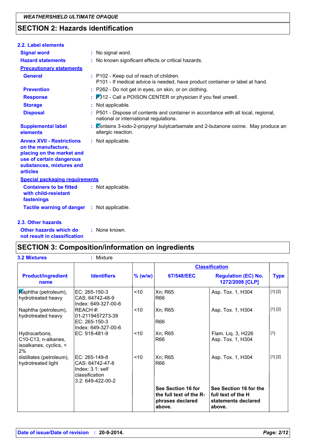### **SECTION 2: Hazards identification**

| 2.2. Label elements                                                                                                                                             |                                                                                                                              |
|-----------------------------------------------------------------------------------------------------------------------------------------------------------------|------------------------------------------------------------------------------------------------------------------------------|
| <b>Signal word</b>                                                                                                                                              | : No signal word.                                                                                                            |
| <b>Hazard statements</b>                                                                                                                                        | : No known significant effects or critical hazards.                                                                          |
| <b>Precautionary statements</b>                                                                                                                                 |                                                                                                                              |
| <b>General</b>                                                                                                                                                  | : P102 - Keep out of reach of children.<br>P101 - If medical advice is needed, have product container or label at hand.      |
| <b>Prevention</b>                                                                                                                                               | : P262 - Do not get in eyes, on skin, or on clothing.                                                                        |
| <b>Response</b>                                                                                                                                                 | : P312 - Call a POISON CENTER or physician if you feel unwell.                                                               |
| <b>Storage</b>                                                                                                                                                  | : Not applicable.                                                                                                            |
| <b>Disposal</b>                                                                                                                                                 | : P501 - Dispose of contents and container in accordance with all local, regional,<br>national or international regulations. |
| <b>Supplemental label</b><br>elements                                                                                                                           | : Contains 3-iodo-2-propynyl butylcarbamate and 2-butanone oxime. May produce an<br>allergic reaction.                       |
| <b>Annex XVII - Restrictions</b><br>on the manufacture,<br>placing on the market and<br>use of certain dangerous<br>substances, mixtures and<br><b>articles</b> | : Not applicable.                                                                                                            |
| <b>Special packaging requirements</b>                                                                                                                           |                                                                                                                              |
| <b>Containers to be fitted</b><br>with child-resistant<br>fastenings                                                                                            | : Not applicable.                                                                                                            |
| Tactile warning of danger : Not applicable.                                                                                                                     |                                                                                                                              |
| 2.3. Other hazards                                                                                                                                              |                                                                                                                              |

Other hazards which do : None known. not result in classification

## **SECTION 3: Composition/information on ingredients**

| <b>3.2 Mixtures</b>                                                  | : Mixture                                                                                      |         |                                                                             |                                                                               |             |
|----------------------------------------------------------------------|------------------------------------------------------------------------------------------------|---------|-----------------------------------------------------------------------------|-------------------------------------------------------------------------------|-------------|
|                                                                      |                                                                                                |         |                                                                             | <b>Classification</b>                                                         |             |
| <b>Product/ingredient</b><br>name                                    | <b>Identifiers</b>                                                                             | % (w/w) | 67/548/EEC                                                                  | <b>Regulation (EC) No.</b><br>1272/2008 [CLP]                                 | <b>Type</b> |
| Maphtha (petroleum),<br>hydrotreated heavy                           | EC: 265-150-3<br>CAS: 64742-48-9<br>Index: 649-327-00-6                                        | ~10     | Xn; R65<br>R66                                                              | Asp. Tox. 1, H304                                                             | [1] [2]     |
| Naphtha (petroleum),<br>hydrotreated heavy                           | <b>IREACH #:</b><br>01-2119457273-39<br>EC: 265-150-3<br>Index: 649-327-00-6                   | ~10     | Xn; R65<br>R66                                                              | Asp. Tox. 1, H304                                                             | [1] [2]     |
| Hydrocarbons,<br>C10-C13, n-alkanes,<br>isoalkanes, cyclics, <<br>2% | EC: 918-481-9                                                                                  | ~10     | Xn; R65<br>R66                                                              | Flam. Liq. 3, H226<br>Asp. Tox. 1, H304                                       | $[1]$       |
| distillates (petroleum),<br>hydrotreated light                       | EC: 265-149-8<br>CAS: 64742-47-8<br>Index: $3.1$ : self<br>classification<br>3.2: 649-422-00-2 | < 10    | Xn; R65<br>R66                                                              | Asp. Tox. 1, H304                                                             | [1] [2]     |
|                                                                      |                                                                                                |         | See Section 16 for<br>the full text of the R-<br>phrases declared<br>above. | See Section 16 for the<br>full text of the H<br>statements declared<br>above. |             |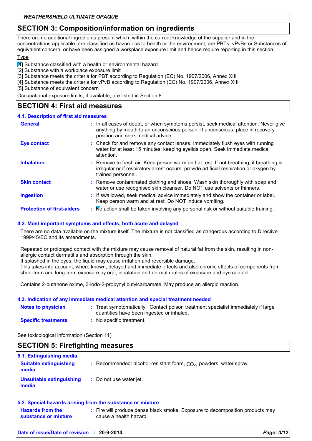### **SECTION 3: Composition/information on ingredients**

There are no additional ingredients present which, within the current knowledge of the supplier and in the concentrations applicable, are classified as hazardous to health or the environment, are PBTs, vPvBs or Substances of equivalent concern, or have been assigned a workplace exposure limit and hence require reporting in this section.

#### Type

11 Substance classified with a health or environmental hazard

[2] Substance with a workplace exposure limit

[3] Substance meets the criteria for PBT according to Regulation (EC) No. 1907/2006, Annex XIII

[4] Substance meets the criteria for vPvB according to Regulation (EC) No. 1907/2006, Annex XIII

[5] Substance of equivalent concern

Occupational exposure limits, if available, are listed in Section 8.

### **SECTION 4: First aid measures**

#### 4.1. Description of first aid measures

| <b>General</b>                    | : In all cases of doubt, or when symptoms persist, seek medical attention. Never give<br>anything by mouth to an unconscious person. If unconscious, place in recovery<br>position and seek medical advice. |
|-----------------------------------|-------------------------------------------------------------------------------------------------------------------------------------------------------------------------------------------------------------|
| <b>Eye contact</b>                | : Check for and remove any contact lenses. Immediately flush eyes with running<br>water for at least 15 minutes, keeping eyelids open. Seek immediate medical<br>attention.                                 |
| <b>Inhalation</b>                 | : Remove to fresh air. Keep person warm and at rest. If not breathing, if breathing is<br>irregular or if respiratory arrest occurs, provide artificial respiration or oxygen by<br>trained personnel.      |
| <b>Skin contact</b>               | : Remove contaminated clothing and shoes. Wash skin thoroughly with soap and<br>water or use recognised skin cleanser. Do NOT use solvents or thinners.                                                     |
| <b>Ingestion</b>                  | : If swallowed, seek medical advice immediately and show the container or label.<br>Keep person warm and at rest. Do NOT induce vomiting.                                                                   |
| <b>Protection of first-aiders</b> | : No action shall be taken involving any personal risk or without suitable training.                                                                                                                        |

#### 4.2. Most important symptoms and effects, both acute and delayed

There are no data available on the mixture itself. The mixture is not classified as dangerous according to Directive 1999/45/EC and its amendments.

Repeated or prolonged contact with the mixture may cause removal of natural fat from the skin, resulting in nonallergic contact dermatitis and absorption through the skin.

If splashed in the eyes, the liquid may cause irritation and reversible damage.

This takes into account, where known, delayed and immediate effects and also chronic effects of components from short-term and long-term exposure by oral, inhalation and dermal routes of exposure and eye contact.

Contains 2-butanone oxime, 3-iodo-2-propynyl butylcarbamate. May produce an allergic reaction.

#### 4.3. Indication of any immediate medical attention and special treatment needed

| <b>Notes to physician</b>  | : Treat symptomatically. Contact poison treatment specialist immediately if large<br>quantities have been ingested or inhaled. |
|----------------------------|--------------------------------------------------------------------------------------------------------------------------------|
| <b>Specific treatments</b> | No specific treatment.                                                                                                         |

See toxicological information (Section 11)

#### **SECTION 5: Firefighting measures** 5.1. Extinguishing media **Suitable extinguishing** : Recommended: alcohol-resistant foam,  $CO<sub>2</sub>$ , powders, water spray. media **Unsuitable extinguishing** : Do not use water jet. media

#### 5.2. Special hazards arising from the substance or mixture

| <b>Hazards from the</b> | : Fire will produce dense black smoke. Exposure to decomposition products may |
|-------------------------|-------------------------------------------------------------------------------|
| substance or mixture    | cause a health hazard.                                                        |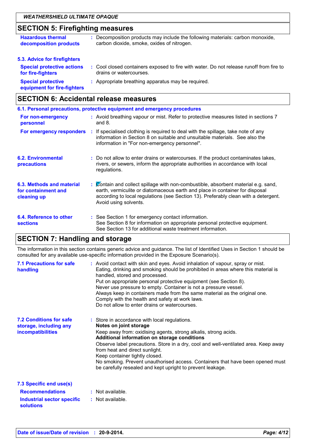### **SECTION 5: Firefighting measures**

| <b>Hazardous thermal</b><br>decomposition products       | : Decomposition products may include the following materials: carbon monoxide,<br>carbon dioxide, smoke, oxides of nitrogen. |
|----------------------------------------------------------|------------------------------------------------------------------------------------------------------------------------------|
| 5.3. Advice for firefighters                             |                                                                                                                              |
| <b>Special protective actions</b><br>for fire-fighters   | : Cool closed containers exposed to fire with water. Do not release runoff from fire to<br>drains or watercourses.           |
| <b>Special protective</b><br>equipment for fire-fighters | : Appropriate breathing apparatus may be required.                                                                           |
|                                                          |                                                                                                                              |

### **SECTION 6: Accidental release measures**

| 6.1. Personal precautions, protective equipment and emergency procedures |  |                                                                                                                                                                                                                                                                                    |  |
|--------------------------------------------------------------------------|--|------------------------------------------------------------------------------------------------------------------------------------------------------------------------------------------------------------------------------------------------------------------------------------|--|
| For non-emergency<br>personnel                                           |  | : Avoid breathing vapour or mist. Refer to protective measures listed in sections 7<br>and $8.$                                                                                                                                                                                    |  |
| For emergency responders                                                 |  | : If specialised clothing is required to deal with the spillage, take note of any<br>information in Section 8 on suitable and unsuitable materials. See also the<br>information in "For non-emergency personnel".                                                                  |  |
| <b>6.2. Environmental</b><br>precautions                                 |  | : Do not allow to enter drains or watercourses. If the product contaminates lakes,<br>rivers, or sewers, inform the appropriate authorities in accordance with local<br>regulations.                                                                                               |  |
| 6.3. Methods and material<br>for containment and<br>cleaning up          |  | : Contain and collect spillage with non-combustible, absorbent material e.g. sand,<br>earth, vermiculite or diatomaceous earth and place in container for disposal<br>according to local regulations (see Section 13). Preferably clean with a detergent.<br>Avoid using solvents. |  |
| 6.4. Reference to other<br><b>sections</b>                               |  | : See Section 1 for emergency contact information.<br>See Section 8 for information on appropriate personal protective equipment.<br>See Section 13 for additional waste treatment information.                                                                                    |  |

### **SECTION 7: Handling and storage**

The information in this section contains generic advice and guidance. The list of Identified Uses in Section 1 should be consulted for any available use-specific information provided in the Exposure Scenario(s).

| <b>7.1 Precautions for safe</b><br>handling                                          | : Avoid contact with skin and eyes. Avoid inhalation of vapour, spray or mist.<br>Eating, drinking and smoking should be prohibited in areas where this material is<br>handled, stored and processed.<br>Put on appropriate personal protective equipment (see Section 8).<br>Never use pressure to empty. Container is not a pressure vessel.<br>Always keep in containers made from the same material as the original one.<br>Comply with the health and safety at work laws.<br>Do not allow to enter drains or watercourses. |
|--------------------------------------------------------------------------------------|----------------------------------------------------------------------------------------------------------------------------------------------------------------------------------------------------------------------------------------------------------------------------------------------------------------------------------------------------------------------------------------------------------------------------------------------------------------------------------------------------------------------------------|
| <b>7.2 Conditions for safe</b><br>storage, including any<br><b>incompatibilities</b> | : Store in accordance with local regulations.<br>Notes on joint storage<br>Keep away from: oxidising agents, strong alkalis, strong acids.<br>Additional information on storage conditions<br>Observe label precautions. Store in a dry, cool and well-ventilated area. Keep away<br>from heat and direct sunlight.<br>Keep container tightly closed.<br>No smoking. Prevent unauthorised access. Containers that have been opened must<br>be carefully resealed and kept upright to prevent leakage.                            |
| 7.3 Specific end use(s)                                                              |                                                                                                                                                                                                                                                                                                                                                                                                                                                                                                                                  |
| <b>Recommendations</b>                                                               | : Not available.                                                                                                                                                                                                                                                                                                                                                                                                                                                                                                                 |
| Industrial sector specific<br>solutions                                              | : Not available.                                                                                                                                                                                                                                                                                                                                                                                                                                                                                                                 |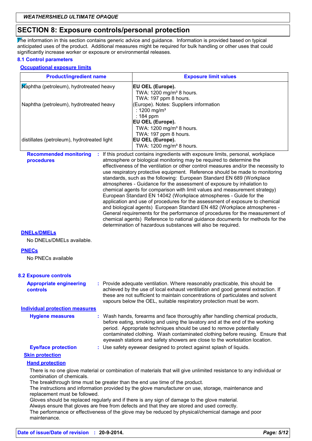### **SECTION 8: Exposure controls/personal protection**

The information in this section contains generic advice and guidance. Information is provided based on typical anticipated uses of the product. Additional measures might be required for bulk handling or other uses that could significantly increase worker or exposure or environmental releases.

### 8.1 Control parameters

#### **Occupational exposure limits**

| <b>Product/ingredient name</b>                             | <b>Exposure limit values</b>                                                                                                                                                                                                                                                                                                                                                                                                                                                                                                                                                                                                                                                                                                                                                                                                                                                                                                                                                                                                     |
|------------------------------------------------------------|----------------------------------------------------------------------------------------------------------------------------------------------------------------------------------------------------------------------------------------------------------------------------------------------------------------------------------------------------------------------------------------------------------------------------------------------------------------------------------------------------------------------------------------------------------------------------------------------------------------------------------------------------------------------------------------------------------------------------------------------------------------------------------------------------------------------------------------------------------------------------------------------------------------------------------------------------------------------------------------------------------------------------------|
| Maphtha (petroleum), hydrotreated heavy                    | EU OEL (Europe).<br>TWA: 1200 mg/m <sup>3</sup> 8 hours.<br>TWA: 197 ppm 8 hours.                                                                                                                                                                                                                                                                                                                                                                                                                                                                                                                                                                                                                                                                                                                                                                                                                                                                                                                                                |
| Naphtha (petroleum), hydrotreated heavy                    | (Europe). Notes: Suppliers information<br>: 1200 mg/m <sup>3</sup><br>: 184 ppm<br>EU OEL (Europe).<br>TWA: 1200 mg/m <sup>3</sup> 8 hours.<br>TWA: 197 ppm 8 hours.                                                                                                                                                                                                                                                                                                                                                                                                                                                                                                                                                                                                                                                                                                                                                                                                                                                             |
| distillates (petroleum), hydrotreated light                | EU OEL (Europe).<br>TWA: 1200 mg/m <sup>3</sup> 8 hours.                                                                                                                                                                                                                                                                                                                                                                                                                                                                                                                                                                                                                                                                                                                                                                                                                                                                                                                                                                         |
| <b>Recommended monitoring</b><br>procedures                | If this product contains ingredients with exposure limits, personal, workplace<br>atmosphere or biological monitoring may be required to determine the<br>effectiveness of the ventilation or other control measures and/or the necessity to<br>use respiratory protective equipment. Reference should be made to monitoring<br>standards, such as the following: European Standard EN 689 (Workplace<br>atmospheres - Guidance for the assessment of exposure by inhalation to<br>chemical agents for comparison with limit values and measurement strategy)<br>European Standard EN 14042 (Workplace atmospheres - Guide for the<br>application and use of procedures for the assessment of exposure to chemical<br>and biological agents) European Standard EN 482 (Workplace atmospheres -<br>General requirements for the performance of procedures for the measurement of<br>chemical agents) Reference to national guidance documents for methods for the<br>determination of hazardous substances will also be required. |
| <b>DNELS/DMELS</b><br>No DNELs/DMELs available.            |                                                                                                                                                                                                                                                                                                                                                                                                                                                                                                                                                                                                                                                                                                                                                                                                                                                                                                                                                                                                                                  |
| <b>PNECs</b><br>No PNECs available                         |                                                                                                                                                                                                                                                                                                                                                                                                                                                                                                                                                                                                                                                                                                                                                                                                                                                                                                                                                                                                                                  |
| <b>8.2 Exposure controls</b>                               |                                                                                                                                                                                                                                                                                                                                                                                                                                                                                                                                                                                                                                                                                                                                                                                                                                                                                                                                                                                                                                  |
| <b>Appropriate engineering</b><br><b>controls</b>          | : Provide adequate ventilation. Where reasonably practicable, this should be<br>achieved by the use of local exhaust ventilation and good general extraction. If<br>these are not sufficient to maintain concentrations of particulates and solvent<br>vapours below the OEL, suitable respiratory protection must be worn.                                                                                                                                                                                                                                                                                                                                                                                                                                                                                                                                                                                                                                                                                                      |
| <b>Individual protection measures</b>                      |                                                                                                                                                                                                                                                                                                                                                                                                                                                                                                                                                                                                                                                                                                                                                                                                                                                                                                                                                                                                                                  |
| <b>Hygiene measures</b>                                    | : Wash hands, forearms and face thoroughly after handling chemical products,<br>before eating, smoking and using the lavatory and at the end of the working<br>period. Appropriate techniques should be used to remove potentially<br>contaminated clothing. Wash contaminated clothing before reusing. Ensure that<br>eyewash stations and safety showers are close to the workstation location.                                                                                                                                                                                                                                                                                                                                                                                                                                                                                                                                                                                                                                |
| <b>Eye/face protection</b>                                 | : Use safety eyewear designed to protect against splash of liquids.                                                                                                                                                                                                                                                                                                                                                                                                                                                                                                                                                                                                                                                                                                                                                                                                                                                                                                                                                              |
| <b>Skin protection</b>                                     |                                                                                                                                                                                                                                                                                                                                                                                                                                                                                                                                                                                                                                                                                                                                                                                                                                                                                                                                                                                                                                  |
| <b>Hand protection</b>                                     |                                                                                                                                                                                                                                                                                                                                                                                                                                                                                                                                                                                                                                                                                                                                                                                                                                                                                                                                                                                                                                  |
| combination of chemicals.<br>replacement must be followed. | There is no one glove material or combination of materials that will give unlimited resistance to any individual or<br>The breakthrough time must be greater than the end use time of the product.<br>The instructions and information provided by the glove manufacturer on use, storage, maintenance and<br>Gloves should be replaced regularly and if there is any sign of damage to the glove material.<br>Always ensure that gloves are free from defects and that they are stored and used correctly.<br>The performance or effectiveness of the glove may be reduced by physical/chemical damage and poor                                                                                                                                                                                                                                                                                                                                                                                                                 |

maintenance.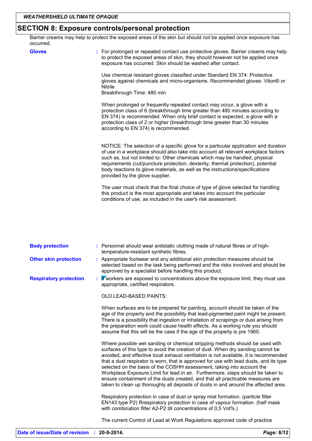### **SECTION 8: Exposure controls/personal protection**

Barrier creams may help to protect the exposed areas of the skin but should not be applied once exposure has occurred.

| <b>Gloves</b> | : For prolonged or repeated contact use protective gloves. Barrier creams may help<br>to protect the exposed areas of skin, they should however not be applied once<br>exposure has occurred. Skin should be washed after contact.                                                                                                                                                                                                                               |
|---------------|------------------------------------------------------------------------------------------------------------------------------------------------------------------------------------------------------------------------------------------------------------------------------------------------------------------------------------------------------------------------------------------------------------------------------------------------------------------|
|               | Use chemical resistant gloves classified under Standard EN 374: Protective<br>gloves against chemicals and micro-organisms. Recommended gloves: Viton® or<br>Nitrile<br>Breakthrough Time: 480 min                                                                                                                                                                                                                                                               |
|               | When prolonged or frequently repeated contact may occur, a glove with a<br>protection class of 6 (breakthrough time greater than 480 minutes according to<br>EN 374) is recommended. When only brief contact is expected, a glove with a<br>protection class of 2 or higher (breakthrough time greater than 30 minutes<br>according to EN 374) is recommended.                                                                                                   |
|               | NOTICE: The selection of a specific glove for a particular application and duration<br>of use in a workplace should also take into account all relevant workplace factors<br>such as, but not limited to: Other chemicals which may be handled, physical<br>requirements (cut/puncture protection, dexterity, thermal protection), potential<br>body reactions to glove materials, as well as the instructions/specifications<br>provided by the glove supplier. |
|               | The user must check that the final choice of type of glove selected for handling<br>this product is the most appropriate and takes into account the particular<br>conditions of use, as included in the user's risk assessment.                                                                                                                                                                                                                                  |
|               |                                                                                                                                                                                                                                                                                                                                                                                                                                                                  |

| <b>Body protection</b>        | : Personnel should wear antistatic clothing made of natural fibres or of high-<br>temperature-resistant synthetic fibres.                                                                                                                                                                                                                                                                                                                                                                                                                                                                                                                                                               |
|-------------------------------|-----------------------------------------------------------------------------------------------------------------------------------------------------------------------------------------------------------------------------------------------------------------------------------------------------------------------------------------------------------------------------------------------------------------------------------------------------------------------------------------------------------------------------------------------------------------------------------------------------------------------------------------------------------------------------------------|
| <b>Other skin protection</b>  | : Appropriate footwear and any additional skin protection measures should be<br>selected based on the task being performed and the risks involved and should be<br>approved by a specialist before handling this product.                                                                                                                                                                                                                                                                                                                                                                                                                                                               |
| <b>Respiratory protection</b> | Wworkers are exposed to concentrations above the exposure limit, they must use<br>appropriate, certified respirators.                                                                                                                                                                                                                                                                                                                                                                                                                                                                                                                                                                   |
|                               | OLD LEAD-BASED PAINTS:                                                                                                                                                                                                                                                                                                                                                                                                                                                                                                                                                                                                                                                                  |
|                               | When surfaces are to be prepared for painting, account should be taken of the<br>age of the property and the possibility that lead-pigmented paint might be present.<br>There is a possibility that ingestion or inhalation of scrapings or dust arising from<br>the preparation work could cause health effects. As a working rule you should<br>assume that this will be the case if the age of the property is pre 1960.                                                                                                                                                                                                                                                             |
|                               | Where possible wet sanding or chemical stripping methods should be used with<br>surfaces of this type to avoid the creation of dust. When dry sanding cannot be<br>avoided, and effective local exhaust ventilation is not available, it is recommended<br>that a dust respirator is worn, that is approved for use with lead dusts, and its type<br>selected on the basis of the COSHH assessment, taking into account the<br>Workplace Exposure Limit for lead in air. Furthermore, steps should be taken to<br>ensure containment of the dusts created, and that all practicable measures are<br>taken to clean up thoroughly all deposits of dusts in and around the affected area. |
|                               | Respiratory protection in case of dust or spray mist formation. (particle filter<br>EN143 type P2) Rrespiratory protection in case of vapour formation. (half mask<br>with combination filter A2-P2 till concentrations of 0,5 Vol%.)                                                                                                                                                                                                                                                                                                                                                                                                                                                   |
|                               | The current Control of Lead at Work Regulations approved code of practice                                                                                                                                                                                                                                                                                                                                                                                                                                                                                                                                                                                                               |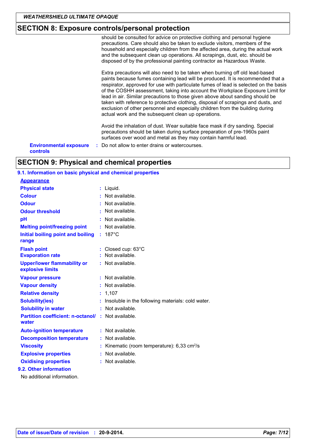### **SECTION 8: Exposure controls/personal protection**

should be consulted for advice on protective clothing and personal hygiene precautions. Care should also be taken to exclude visitors, members of the household and especially children from the affected area, during the actual work and the subsequent clean up operations. All scrapings, dust, etc. should be disposed of by the professional painting contractor as Hazardous Waste. Extra precautions will also need to be taken when burning off old lead-based paints because fumes containing lead will be produced. It is recommended that a respirator, approved for use with particulate fumes of lead is selected on the basis of the COSHH assessment, taking into account the Workplace Exposure Limit for lead in air. Similar precautions to those given above about sanding should be taken with reference to protective clothing, disposal of scrapings and dusts, and exclusion of other personnel and especially children from the building during actual work and the subsequent clean up operations. Avoid the inhalation of dust. Wear suitable face mask if dry sanding. Special precautions should be taken during surface preparation of pre-1960s paint surfaces over wood and metal as they may contain harmful lead. **Environmental exposure** : Do not allow to enter drains or watercourses. controls

## **SECTION 9: Physical and chemical properties**

#### 9.1. Information on basic physical and chemical properties **Appearance**

| <b>Physical state</b>                                  | : Liquid.                                               |
|--------------------------------------------------------|---------------------------------------------------------|
| <b>Colour</b>                                          | Not available.                                          |
| <b>Odour</b>                                           | : Not available.                                        |
| <b>Odour threshold</b>                                 | Not available.                                          |
| pH                                                     | Not available.                                          |
| <b>Melting point/freezing point</b>                    | $:$ Not available.                                      |
| Initial boiling point and boiling<br>range             | $: 187^{\circ}$ C                                       |
| <b>Flash point</b>                                     | : Closed cup: 63°C                                      |
| <b>Evaporation rate</b>                                | Not available.                                          |
| <b>Upper/lower flammability or</b><br>explosive limits | $:$ Not available.                                      |
| <b>Vapour pressure</b>                                 | Not available.                                          |
| <b>Vapour density</b>                                  | Not available.                                          |
| <b>Relative density</b>                                | : 1,107                                                 |
| <b>Solubility(ies)</b>                                 | Insoluble in the following materials: cold water.       |
| <b>Solubility in water</b>                             | Not available.                                          |
| <b>Partition coefficient: n-octanol/</b><br>water      | : Not available.                                        |
| <b>Auto-ignition temperature</b>                       | : Not available.                                        |
| <b>Decomposition temperature</b>                       | Not available.                                          |
| <b>Viscosity</b>                                       | Kinematic (room temperature): $6,33$ cm <sup>2</sup> /s |
| <b>Explosive properties</b>                            | Not available.                                          |
| <b>Oxidising properties</b>                            | Not available.                                          |
| 9.2. Other information                                 |                                                         |
| No additional information.                             |                                                         |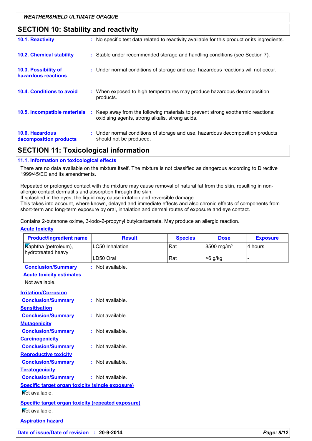### **SECTION 10: Stability and reactivity**

| 10.1. Reactivity                                 | : No specific test data related to reactivity available for this product or its ingredients.                                        |
|--------------------------------------------------|-------------------------------------------------------------------------------------------------------------------------------------|
| <b>10.2. Chemical stability</b>                  | : Stable under recommended storage and handling conditions (see Section 7).                                                         |
| 10.3. Possibility of<br>hazardous reactions      | : Under normal conditions of storage and use, hazardous reactions will not occur.                                                   |
| <b>10.4. Conditions to avoid</b>                 | : When exposed to high temperatures may produce hazardous decomposition<br>products.                                                |
| 10.5. Incompatible materials                     | : Keep away from the following materials to prevent strong exothermic reactions:<br>oxidising agents, strong alkalis, strong acids. |
| <b>10.6. Hazardous</b><br>decomposition products | : Under normal conditions of storage and use, hazardous decomposition products<br>should not be produced.                           |

### **SECTION 11: Toxicological information**

#### 11.1. Information on toxicological effects

There are no data available on the mixture itself. The mixture is not classified as dangerous according to Directive 1999/45/EC and its amendments.

Repeated or prolonged contact with the mixture may cause removal of natural fat from the skin, resulting in nonallergic contact dermatitis and absorption through the skin.

If splashed in the eyes, the liquid may cause irritation and reversible damage.

This takes into account, where known, delayed and immediate effects and also chronic effects of components from short-term and long-term exposure by oral, inhalation and dermal routes of exposure and eye contact.

Contains 2-butanone oxime, 3-iodo-2-propynyl butylcarbamate. May produce an allergic reaction.

#### **Acute toxicity**

| <b>Product/ingredient name</b>                            | <b>Result</b>    | <b>Species</b> | <b>Dose</b>            | <b>Exposure</b> |
|-----------------------------------------------------------|------------------|----------------|------------------------|-----------------|
| Maphtha (petroleum),<br>hydrotreated heavy                | LC50 Inhalation  | Rat            | 8500 mg/m <sup>3</sup> | 4 hours         |
|                                                           | LD50 Oral        | Rat            | $>6$ g/kg              | $\overline{a}$  |
| <b>Conclusion/Summary</b>                                 | : Not available. |                |                        |                 |
| <b>Acute toxicity estimates</b>                           |                  |                |                        |                 |
| Not available.                                            |                  |                |                        |                 |
| <b>Irritation/Corrosion</b>                               |                  |                |                        |                 |
| <b>Conclusion/Summary</b>                                 | : Not available. |                |                        |                 |
| <b>Sensitisation</b>                                      |                  |                |                        |                 |
| <b>Conclusion/Summary</b>                                 | : Not available. |                |                        |                 |
| <b>Mutagenicity</b>                                       |                  |                |                        |                 |
| <b>Conclusion/Summary</b>                                 | : Not available. |                |                        |                 |
| <b>Carcinogenicity</b>                                    |                  |                |                        |                 |
| <b>Conclusion/Summary</b>                                 | : Not available. |                |                        |                 |
| <b>Reproductive toxicity</b>                              |                  |                |                        |                 |
| <b>Conclusion/Summary</b>                                 | : Not available. |                |                        |                 |
| <b>Teratogenicity</b>                                     |                  |                |                        |                 |
| <b>Conclusion/Summary</b>                                 | : Not available. |                |                        |                 |
| <b>Specific target organ toxicity (single exposure)</b>   |                  |                |                        |                 |
| Mot available.                                            |                  |                |                        |                 |
| <b>Specific target organ toxicity (repeated exposure)</b> |                  |                |                        |                 |
| Not available.                                            |                  |                |                        |                 |
| <b>Aspiration hazard</b>                                  |                  |                |                        |                 |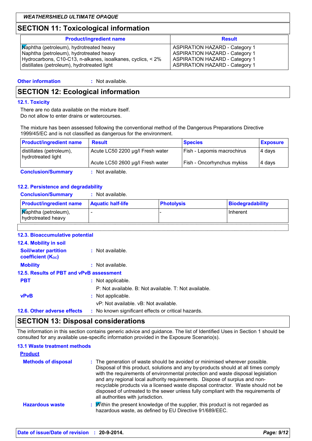### **SECTION 11: Toxicological information**

| <b>Product/ingredient name</b>                              | <b>Result</b>                         |
|-------------------------------------------------------------|---------------------------------------|
| Maphtha (petroleum), hydrotreated heavy                     | <b>ASPIRATION HAZARD - Category 1</b> |
| Naphtha (petroleum), hydrotreated heavy                     | <b>ASPIRATION HAZARD - Category 1</b> |
| Hydrocarbons, C10-C13, n-alkanes, isoalkanes, cyclics, < 2% | <b>ASPIRATION HAZARD - Category 1</b> |
| distillates (petroleum), hydrotreated light                 | <b>ASPIRATION HAZARD - Category 1</b> |

### **SECTION 12: Ecological information**

#### 12.1. Toxicity

There are no data available on the mixture itself. Do not allow to enter drains or watercourses.

The mixture has been assessed following the conventional method of the Dangerous Preparations Directive 1999/45/EC and is not classified as dangerous for the environment.

| <b>Product/ingredient name</b>                 | <b>Result</b>                    | <b>Species</b>             | <b>Exposure</b> |
|------------------------------------------------|----------------------------------|----------------------------|-----------------|
| distillates (petroleum),<br>hydrotreated light | Acute LC50 2200 µg/l Fresh water | Fish - Lepomis macrochirus | 4 days          |
|                                                | Acute LC50 2600 µg/l Fresh water | Fish - Oncorhynchus mykiss | 4 days          |
| <b>Conclusion/Summary</b>                      | : Not available.                 |                            |                 |

#### 12.2. Persistence and degradability

| <b>Conclusion/Summary</b> | Not available. |
|---------------------------|----------------|
|                           |                |

| <b>Product/ingredient name</b>             | <b>Aquatic half-life</b> | <b>Photolysis</b> | <b>Biodegradability</b> |
|--------------------------------------------|--------------------------|-------------------|-------------------------|
| Maphtha (petroleum),<br>hydrotreated heavy |                          |                   | Inherent                |
|                                            |                          |                   |                         |

| 12.3. Bioaccumulative potential                         |                                                       |
|---------------------------------------------------------|-------------------------------------------------------|
| 12.4. Mobility in soil                                  |                                                       |
| <b>Soil/water partition</b><br><b>coefficient (Koc)</b> | : Not available.                                      |
| <b>Mobility</b>                                         | : Not available.                                      |
| 12.5. Results of PBT and vPvB assessment                |                                                       |
| <b>PBT</b>                                              | : Not applicable.                                     |
|                                                         | P: Not available, B: Not available, T: Not available. |
| <b>vPvB</b>                                             | : Not applicable.                                     |
|                                                         | vP: Not available, vB: Not available.                 |
| 12.6. Other adverse effects                             | : No known significant effects or critical hazards.   |

### **SECTION 13: Disposal considerations**

The information in this section contains generic advice and guidance. The list of Identified Uses in Section 1 should be consulted for any available use-specific information provided in the Exposure Scenario(s).

#### **13.1 Waste treatment methods**

| <b>Product</b>             |                                                                                                                                                                                                                                                                                                                                                                                                                                                                                                                                                      |
|----------------------------|------------------------------------------------------------------------------------------------------------------------------------------------------------------------------------------------------------------------------------------------------------------------------------------------------------------------------------------------------------------------------------------------------------------------------------------------------------------------------------------------------------------------------------------------------|
| <b>Methods of disposal</b> | : The generation of waste should be avoided or minimised wherever possible.<br>Disposal of this product, solutions and any by-products should at all times comply<br>with the requirements of environmental protection and waste disposal legislation<br>and any regional local authority requirements. Dispose of surplus and non-<br>recyclable products via a licensed waste disposal contractor. Waste should not be<br>disposed of untreated to the sewer unless fully compliant with the requirements of<br>all authorities with jurisdiction. |
| <b>Hazardous waste</b>     | $\mathbf{w}$ Within the present knowledge of the supplier, this product is not regarded as<br>hazardous waste, as defined by EU Directive 91/689/EEC.                                                                                                                                                                                                                                                                                                                                                                                                |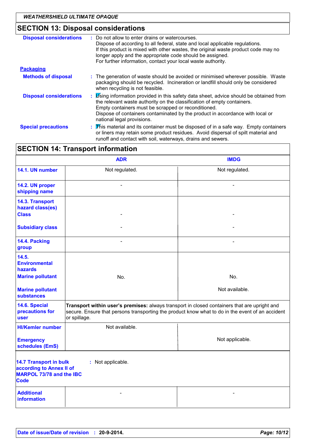## SECTION 13: Disposal considerations

| <b>Disposal considerations</b> | Do not allow to enter drains or watercourses.<br>Dispose of according to all federal, state and local applicable regulations.<br>If this product is mixed with other wastes, the original waste product code may no<br>longer apply and the appropriate code should be assigned.<br>For further information, contact your local waste authority. |
|--------------------------------|--------------------------------------------------------------------------------------------------------------------------------------------------------------------------------------------------------------------------------------------------------------------------------------------------------------------------------------------------|
| <b>Packaging</b>               |                                                                                                                                                                                                                                                                                                                                                  |
| <b>Methods of disposal</b>     | : The generation of waste should be avoided or minimised wherever possible. Waste<br>packaging should be recycled. Incineration or landfill should only be considered<br>when recycling is not feasible.                                                                                                                                         |
| <b>Disposal considerations</b> | : is inginformation provided in this safety data sheet, advice should be obtained from<br>the relevant waste authority on the classification of empty containers.<br>Empty containers must be scrapped or reconditioned.<br>Dispose of containers contaminated by the product in accordance with local or<br>national legal provisions.          |
| <b>Special precautions</b>     | : This material and its container must be disposed of in a safe way. Empty containers<br>or liners may retain some product residues. Avoid dispersal of spilt material and<br>runoff and contact with soil, waterways, drains and sewers.                                                                                                        |

| <b>SECTION 14: Transport information</b>                                                                                         |                                                                                                                                                                                                                  |                 |  |  |  |
|----------------------------------------------------------------------------------------------------------------------------------|------------------------------------------------------------------------------------------------------------------------------------------------------------------------------------------------------------------|-----------------|--|--|--|
|                                                                                                                                  | <b>ADR</b>                                                                                                                                                                                                       | <b>IMDG</b>     |  |  |  |
| 14.1. UN number                                                                                                                  | Not regulated.                                                                                                                                                                                                   | Not regulated.  |  |  |  |
| 14.2. UN proper<br>shipping name                                                                                                 |                                                                                                                                                                                                                  |                 |  |  |  |
| 14.3. Transport<br>hazard class(es)<br><b>Class</b>                                                                              |                                                                                                                                                                                                                  |                 |  |  |  |
| <b>Subsidiary class</b>                                                                                                          |                                                                                                                                                                                                                  |                 |  |  |  |
| 14.4. Packing<br>group                                                                                                           |                                                                                                                                                                                                                  | $\overline{a}$  |  |  |  |
| 14.5.<br><b>Environmental</b><br>hazards                                                                                         |                                                                                                                                                                                                                  |                 |  |  |  |
| <b>Marine pollutant</b>                                                                                                          | No.                                                                                                                                                                                                              | No.             |  |  |  |
| <b>Marine pollutant</b><br><b>substances</b>                                                                                     |                                                                                                                                                                                                                  | Not available.  |  |  |  |
| 14.6. Special<br>precautions for<br><b>user</b>                                                                                  | Transport within user's premises: always transport in closed containers that are upright and<br>secure. Ensure that persons transporting the product know what to do in the event of an accident<br>or spillage. |                 |  |  |  |
| <b>HI/Kemler number</b>                                                                                                          | Not available.                                                                                                                                                                                                   |                 |  |  |  |
| <b>Emergency</b><br>schedules (EmS)                                                                                              |                                                                                                                                                                                                                  | Not applicable. |  |  |  |
| <b>14.7 Transport in bulk</b><br>: Not applicable.<br>according to Annex II of<br><b>MARPOL 73/78 and the IBC</b><br><b>Code</b> |                                                                                                                                                                                                                  |                 |  |  |  |
| <b>Additional</b><br>information                                                                                                 |                                                                                                                                                                                                                  |                 |  |  |  |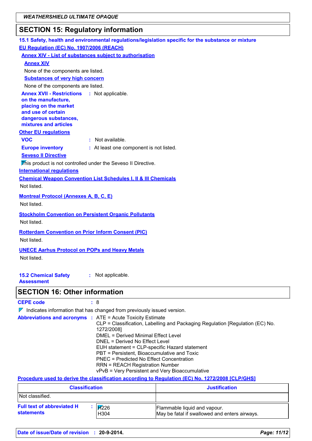## **SECTION 15: Regulatory information**

| 15.1 Safety, health and environmental regulations/legislation specific for the substance or mixture                                                                           |
|-------------------------------------------------------------------------------------------------------------------------------------------------------------------------------|
| EU Regulation (EC) No. 1907/2006 (REACH)                                                                                                                                      |
| <b>Annex XIV - List of substances subject to authorisation</b>                                                                                                                |
| <b>Annex XIV</b>                                                                                                                                                              |
| None of the components are listed.                                                                                                                                            |
| <b>Substances of very high concern</b>                                                                                                                                        |
| None of the components are listed.                                                                                                                                            |
| <b>Annex XVII - Restrictions</b><br>: Not applicable.<br>on the manufacture,<br>placing on the market<br>and use of certain<br>dangerous substances,<br>mixtures and articles |
| <b>Other EU requlations</b>                                                                                                                                                   |
| $\cdot$ Not available.<br><b>VOC</b>                                                                                                                                          |
| : At least one component is not listed.<br><b>Europe inventory</b>                                                                                                            |
| <b>Seveso II Directive</b>                                                                                                                                                    |
| This product is not controlled under the Seveso II Directive.                                                                                                                 |
| <b>International requlations</b>                                                                                                                                              |
| <b>Chemical Weapon Convention List Schedules I, II &amp; III Chemicals</b><br>Not listed.                                                                                     |
| <b>Montreal Protocol (Annexes A, B, C, E)</b><br>Not listed.                                                                                                                  |
| <b>Stockholm Convention on Persistent Organic Pollutants</b><br>Not listed.                                                                                                   |
| <b>Rotterdam Convention on Prior Inform Consent (PIC)</b><br>Not listed.                                                                                                      |
| <b>UNECE Aarhus Protocol on POPs and Heavy Metals</b><br>Not listed.                                                                                                          |
| : Not applicable.<br><b>15.2 Chemical Safety</b><br><b>Assessment</b>                                                                                                         |
| <b>SECTION 16: Other information</b>                                                                                                                                          |
| <b>CEPE code</b><br>: 8                                                                                                                                                       |
| $\nabla$ Indicates information that has changed from previously issued version.                                                                                               |
| <b>Abbreviations and acronyms : ATE = Acute Toxicity Estimate</b>                                                                                                             |

|  | <b>Abbreviations and acronyms :</b> ATE = Acute Toxicity Estimate             |
|--|-------------------------------------------------------------------------------|
|  | CLP = Classification, Labelling and Packaging Regulation [Regulation (EC) No. |
|  | 1272/2008]                                                                    |
|  | DMEL = Derived Minimal Effect Level                                           |
|  | DNEL = Derived No Effect Level                                                |
|  | EUH statement = CLP-specific Hazard statement                                 |
|  | PBT = Persistent, Bioaccumulative and Toxic                                   |
|  | PNEC = Predicted No Effect Concentration                                      |
|  | <b>RRN = REACH Registration Number</b>                                        |
|  | vPvB = Very Persistent and Very Bioaccumulative                               |
|  |                                                                               |

#### Procedure used to derive the classification according to Regulation (EC) No. 1272/2008 [CLP/GHS]

| <b>Classification</b>                                  |                                    | <b>Justification</b>                                                          |
|--------------------------------------------------------|------------------------------------|-------------------------------------------------------------------------------|
| Not classified.                                        |                                    |                                                                               |
| <b>Full text of abbreviated H</b><br><b>statements</b> | $\sqrt{17226}$<br>H <sub>304</sub> | Flammable liquid and vapour.<br>May be fatal if swallowed and enters airways. |